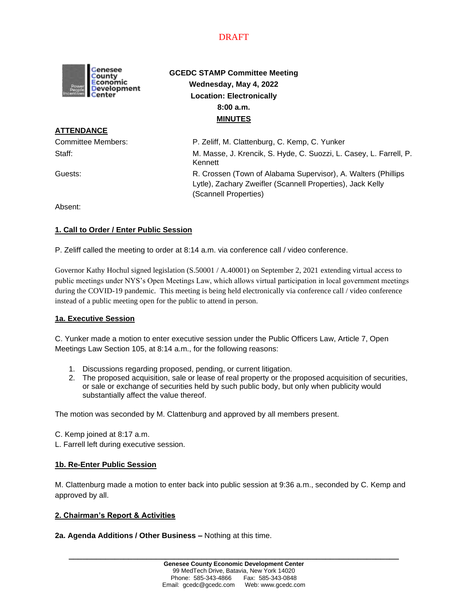

# **GCEDC STAMP Committee Meeting Wednesday, May 4, 2022 Location: Electronically 8:00 a.m. MINUTES**

**ATTENDANCE**

Committee Members: P. Zeliff, M. Clattenburg, C. Kemp, C. Yunker Staff: M. Masse, J. Krencik, S. Hyde, C. Suozzi, L. Casey, L. Farrell, P. Kennett Guests: R. Crossen (Town of Alabama Supervisor), A. Walters (Phillips Lytle), Zachary Zweifler (Scannell Properties), Jack Kelly (Scannell Properties)

Absent:

## **1. Call to Order / Enter Public Session**

P. Zeliff called the meeting to order at 8:14 a.m. via conference call / video conference.

Governor Kathy Hochul signed legislation (S.50001 / A.40001) on September 2, 2021 extending virtual access to public meetings under NYS's Open Meetings Law, which allows virtual participation in local government meetings during the COVID-19 pandemic. This meeting is being held electronically via conference call / video conference instead of a public meeting open for the public to attend in person.

### **1a. Executive Session**

C. Yunker made a motion to enter executive session under the Public Officers Law, Article 7, Open Meetings Law Section 105, at 8:14 a.m., for the following reasons:

- 1. Discussions regarding proposed, pending, or current litigation.
- 2. The proposed acquisition, sale or lease of real property or the proposed acquisition of securities, or sale or exchange of securities held by such public body, but only when publicity would substantially affect the value thereof.

The motion was seconded by M. Clattenburg and approved by all members present.

- C. Kemp joined at 8:17 a.m.
- L. Farrell left during executive session.

### **1b. Re-Enter Public Session**

M. Clattenburg made a motion to enter back into public session at 9:36 a.m., seconded by C. Kemp and approved by all.

### **2. Chairman's Report & Activities**

#### **2a. Agenda Additions / Other Business –** Nothing at this time.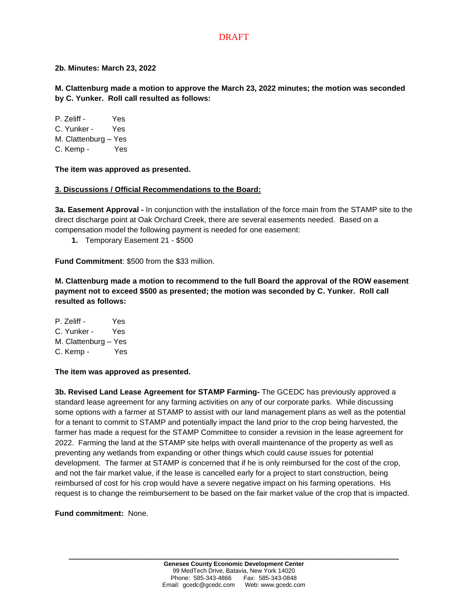### **2b. Minutes: March 23, 2022**

**M. Clattenburg made a motion to approve the March 23, 2022 minutes; the motion was seconded by C. Yunker. Roll call resulted as follows:**

P. Zeliff - Yes C. Yunker - Yes M. Clattenburg – Yes C. Kemp - Yes

**The item was approved as presented.**

### **3. Discussions / Official Recommendations to the Board:**

**3a. Easement Approval -** In conjunction with the installation of the force main from the STAMP site to the direct discharge point at Oak Orchard Creek, there are several easements needed. Based on a compensation model the following payment is needed for one easement:

**1.** Temporary Easement 21 - \$500

**Fund Commitment**: \$500 from the \$33 million.

**M. Clattenburg made a motion to recommend to the full Board the approval of the ROW easement payment not to exceed \$500 as presented; the motion was seconded by C. Yunker. Roll call resulted as follows:**

P. Zeliff - Yes C. Yunker - Yes M. Clattenburg – Yes C. Kemp - Yes

**The item was approved as presented.**

**3b. Revised Land Lease Agreement for STAMP Farming-** The GCEDC has previously approved a standard lease agreement for any farming activities on any of our corporate parks. While discussing some options with a farmer at STAMP to assist with our land management plans as well as the potential for a tenant to commit to STAMP and potentially impact the land prior to the crop being harvested, the farmer has made a request for the STAMP Committee to consider a revision in the lease agreement for 2022. Farming the land at the STAMP site helps with overall maintenance of the property as well as preventing any wetlands from expanding or other things which could cause issues for potential development. The farmer at STAMP is concerned that if he is only reimbursed for the cost of the crop, and not the fair market value, if the lease is cancelled early for a project to start construction, being reimbursed of cost for his crop would have a severe negative impact on his farming operations. His request is to change the reimbursement to be based on the fair market value of the crop that is impacted.

**Fund commitment:** None.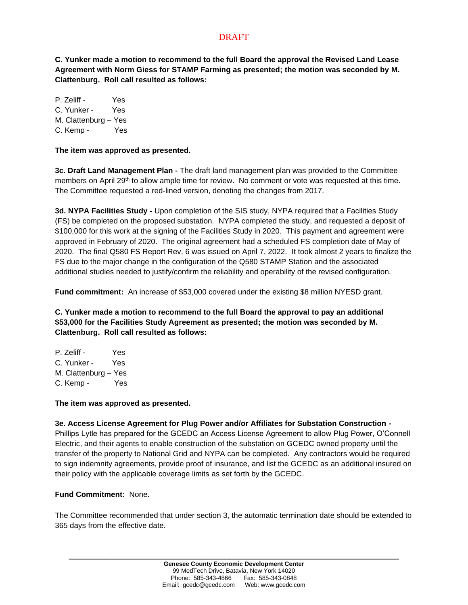**C. Yunker made a motion to recommend to the full Board the approval the Revised Land Lease Agreement with Norm Giess for STAMP Farming as presented; the motion was seconded by M. Clattenburg. Roll call resulted as follows:**

P. Zeliff - Yes C. Yunker - Yes M. Clattenburg – Yes C. Kemp - Yes

**The item was approved as presented.**

**3c. Draft Land Management Plan -** The draft land management plan was provided to the Committee members on April 29<sup>th</sup> to allow ample time for review. No comment or vote was requested at this time. The Committee requested a red-lined version, denoting the changes from 2017.

**3d. NYPA Facilities Study -** Upon completion of the SIS study, NYPA required that a Facilities Study (FS) be completed on the proposed substation. NYPA completed the study, and requested a deposit of \$100,000 for this work at the signing of the Facilities Study in 2020. This payment and agreement were approved in February of 2020. The original agreement had a scheduled FS completion date of May of 2020. The final Q580 FS Report Rev. 6 was issued on April 7, 2022. It took almost 2 years to finalize the FS due to the major change in the configuration of the Q580 STAMP Station and the associated additional studies needed to justify/confirm the reliability and operability of the revised configuration.

**Fund commitment:** An increase of \$53,000 covered under the existing \$8 million NYESD grant.

**C. Yunker made a motion to recommend to the full Board the approval to pay an additional \$53,000 for the Facilities Study Agreement as presented; the motion was seconded by M. Clattenburg. Roll call resulted as follows:**

P. Zeliff - Yes C. Yunker - Yes M. Clattenburg – Yes C. Kemp - Yes

**The item was approved as presented.**

**3e. Access License Agreement for Plug Power and/or Affiliates for Substation Construction -** Phillips Lytle has prepared for the GCEDC an Access License Agreement to allow Plug Power, O'Connell Electric, and their agents to enable construction of the substation on GCEDC owned property until the transfer of the property to National Grid and NYPA can be completed. Any contractors would be required to sign indemnity agreements, provide proof of insurance, and list the GCEDC as an additional insured on their policy with the applicable coverage limits as set forth by the GCEDC.

### **Fund Commitment:** None.

The Committee recommended that under section 3, the automatic termination date should be extended to 365 days from the effective date.